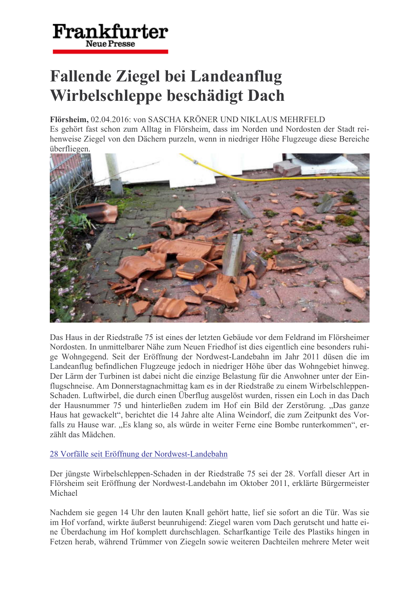# Frankfurter **Neue Presse**

# **Fallende Ziegel bei Landeanflug** Wirbelschleppe beschädigt Dach

#### Flörsheim, 02.04.2016: von SASCHA KRÖNER UND NIKLAUS MEHRFELD

Es gehört fast schon zum Alltag in Flörsheim, dass im Norden und Nordosten der Stadt reihenweise Ziegel von den Dächern purzeln, wenn in niedriger Höhe Flugzeuge diese Bereiche überfliegen.



Das Haus in der Riedstraße 75 ist eines der letzten Gebäude vor dem Feldrand im Flörsheimer Nordosten. In unmittelbarer Nähe zum Neuen Friedhof ist dies eigentlich eine besonders ruhige Wohngegend. Seit der Eröffnung der Nordwest-Landebahn im Jahr 2011 düsen die im Landeanflug befindlichen Flugzeuge jedoch in niedriger Höhe über das Wohngebiet hinweg. Der Lärm der Turbinen ist dabei nicht die einzige Belastung für die Anwohner unter der Einflugschneise. Am Donnerstagnachmittag kam es in der Riedstraße zu einem Wirbelschleppen-Schaden. Luftwirbel, die durch einen Überflug ausgelöst wurden, rissen ein Loch in das Dach der Hausnummer 75 und hinterließen zudem im Hof ein Bild der Zerstörung. "Das ganze Haus hat gewackelt", berichtet die 14 Jahre alte Alina Weindorf, die zum Zeitpunkt des Vorfalls zu Hause war. "Es klang so, als würde in weiter Ferne eine Bombe runterkommen", erzählt das Mädchen.

## 28 Vorfälle seit Eröffnung der Nordwest-Landebahn

Der jüngste Wirbelschleppen-Schaden in der Riedstraße 75 sei der 28. Vorfall dieser Art in Flörsheim seit Eröffnung der Nordwest-Landebahn im Oktober 2011, erklärte Bürgermeister Michael

Nachdem sie gegen 14 Uhr den lauten Knall gehört hatte, lief sie sofort an die Tür. Was sie im Hof vorfand, wirkte äußerst beunruhigend: Ziegel waren vom Dach gerutscht und hatte eine Überdachung im Hof komplett durchschlagen. Scharfkantige Teile des Plastiks hingen in Fetzen herab, während Trümmer von Ziegeln sowie weiteren Dachteilen mehrere Meter weit